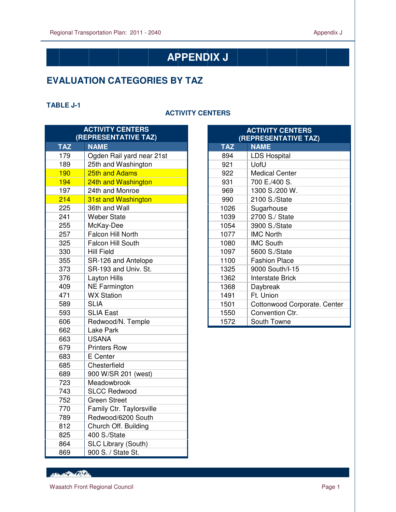# **APPENDIX J**

## **EVALUATION CATEGORIES BY TAZ**

#### **TABLE J-1**

 $\overline{a}$ 

#### **ACTIVITY CENTERS**

| <b>ACTIVITY CENTERS</b><br>(REPRESENTATIVE TAZ) |                           |  |
|-------------------------------------------------|---------------------------|--|
| <b>TAZ</b>                                      | <b>NAME</b>               |  |
| 179                                             | Ogden Rail yard near 21st |  |
| 189                                             | 25th and Washington       |  |
| 190                                             | 25th and Adams            |  |
| 194                                             | 24th and Washington       |  |
| 197                                             | 24th and Monroe           |  |
| 214                                             | 31st and Washington       |  |
| 225                                             | 36th and Wall             |  |
| 241                                             | <b>Weber State</b>        |  |
| 255                                             | McKay-Dee                 |  |
| 257                                             | Falcon Hill North         |  |
| 325                                             | <b>Falcon Hill South</b>  |  |
| 330                                             | <b>Hill Field</b>         |  |
| 355                                             | SR-126 and Antelope       |  |
| 373                                             | SR-193 and Univ. St.      |  |
| 376                                             | <b>Layton Hills</b>       |  |
| 409                                             | <b>NE Farmington</b>      |  |
| 471                                             | <b>WX Station</b>         |  |
| 589                                             | <b>SLIA</b>               |  |
| 593                                             | <b>SLIA East</b>          |  |
| 606                                             | Redwood/N. Temple         |  |
| 662                                             | Lake Park                 |  |
| 663                                             | <b>USANA</b>              |  |
| 679                                             | <b>Printers Row</b>       |  |
| 683                                             | E Center                  |  |
| 685                                             | Chesterfield              |  |
| 689                                             | 900 W/SR 201 (west)       |  |
| 723                                             | Meadowbrook               |  |
| 743                                             | <b>SLCC Redwood</b>       |  |
| 752                                             | <b>Green Street</b>       |  |
| 770                                             | Family Ctr. Taylorsville  |  |
| 789                                             | Redwood/6200 South        |  |
| 812                                             | Church Off. Building      |  |
| 825                                             | 400 S./State              |  |
| 864                                             | SLC Library (South)       |  |
| 869                                             | 900 S. / State St.        |  |

| <b>ACTIVITY CENTERS</b><br>(REPRESENTATIVE TAZ) |                              |  |
|-------------------------------------------------|------------------------------|--|
| <b>TAZ</b>                                      | <b>NAME</b>                  |  |
| 894                                             | <b>LDS Hospital</b>          |  |
| 921                                             | UofU                         |  |
| 922                                             | <b>Medical Center</b>        |  |
| 931                                             | 700 E./400 S.                |  |
| 969                                             | 1300 S./200 W.               |  |
| 990                                             | 2100 S./State                |  |
| 1026                                            | Sugarhouse                   |  |
| 1039                                            | 2700 S./ State               |  |
| 1054                                            | 3900 S./State                |  |
| 1077                                            | <b>IMC North</b>             |  |
| 1080                                            | <b>IMC South</b>             |  |
| 1097                                            | 5600 S./State                |  |
| 1100                                            | <b>Fashion Place</b>         |  |
| 1325                                            | 9000 South/I-15              |  |
| 1362                                            | <b>Interstate Brick</b>      |  |
| 1368                                            | Daybreak                     |  |
| 1491                                            | Ft. Union                    |  |
| 1501                                            | Cottonwood Corporate. Center |  |
| 1550                                            | Convention Ctr.              |  |
| 1572                                            | South Towne                  |  |

RECORD CONTRACTOR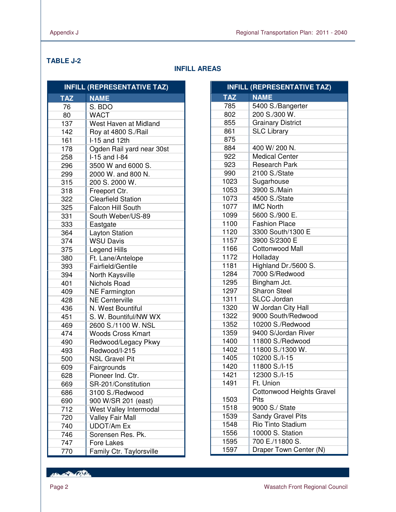$\overline{a}$ 

## **TABLE J-2**

## **INFILL AREAS**

| <b>INFILL (REPRESENTATIVE TAZ)</b> |                           |
|------------------------------------|---------------------------|
| <b>TAZ</b>                         | <b>NAME</b>               |
| 76                                 | S. BDO                    |
| 80                                 | <b>WACT</b>               |
| 137                                | West Haven at Midland     |
| 142                                | Roy at 4800 S./Rail       |
| 161                                | $1-15$ and 12th           |
| 178                                | Ogden Rail yard near 30st |
| 258                                | I-15 and I-84             |
| 296                                | 3500 W and 6000 S.        |
| 299                                | 2000 W. and 800 N.        |
| 315                                | 200 S. 2000 W.            |
| 318                                | Freeport Ctr.             |
| 322                                | <b>Clearfield Station</b> |
| 325                                | <b>Falcon Hill South</b>  |
| 331                                | South Weber/US-89         |
| 333                                | Eastgate                  |
| 364                                | <b>Layton Station</b>     |
| 374                                | <b>WSU Davis</b>          |
| 375                                | <b>Legend Hills</b>       |
| 380                                | Ft. Lane/Antelope         |
| 393                                | Fairfield/Gentile         |
| 394                                | North Kaysville           |
| 401                                | Nichols Road              |
| 409                                | <b>NE Farmington</b>      |
| 428                                | <b>NE Centerville</b>     |
| 436                                | N. West Bountiful         |
| 451                                | S. W. Bountiful/NW WX     |
| 469                                | 2600 S./1100 W. NSL       |
| 474                                | <b>Woods Cross Kmart</b>  |
| 490                                | Redwood/Legacy Pkwy       |
| 493                                | Redwood/I-215             |
| 500                                | <b>NSL Gravel Pit</b>     |
| 609                                | Fairgrounds               |
| 628                                | Pioneer Ind. Ctr.         |
| 669                                | SR-201/Constitution       |
| 686                                | 3100 S./Redwood           |
| 690                                | 900 W/SR 201 (east)       |
| 712                                | West Valley Intermodal    |
| 720                                | <b>Valley Fair Mall</b>   |
| 740                                | <b>UDOT/Am Ex</b>         |
| 746                                | Sorensen Res. Pk.         |
| 747                                | <b>Fore Lakes</b>         |
| 770                                | Family Ctr. Taylorsville  |

| <b>INFILL (REPRESENTATIVE TAZ)</b> |                           |  |
|------------------------------------|---------------------------|--|
| <b>TAZ</b>                         | <b>NAME</b>               |  |
| 785                                | 5400 S./Bangerter         |  |
| 802                                | 200 S./300 W.             |  |
| 855                                | <b>Grainary District</b>  |  |
| 861                                | <b>SLC Library</b>        |  |
| 875                                |                           |  |
| 884                                | 400 W/200 N.              |  |
| 922                                | <b>Medical Center</b>     |  |
| 923                                | <b>Research Park</b>      |  |
| 990                                | 2100 S./State             |  |
| 1023                               | Sugarhouse                |  |
| 1053                               | 3900 S./Main              |  |
| 1073                               | 4500 S./State             |  |
| 1077                               | <b>IMC North</b>          |  |
| 1099                               | 5600 S./900 E.            |  |
| 1100                               | <b>Fashion Place</b>      |  |
| 1120                               | 3300 South/1300 E         |  |
| 1157                               | 3900 S/2300 E             |  |
| 1166                               | Cottonwood Mall           |  |
| 1172                               | Holladay                  |  |
| 1181                               | Highland Dr./5600 S.      |  |
| 1284                               | 7000 S/Redwood            |  |
| 1295                               | Bingham Jct.              |  |
| 1297                               | <b>Sharon Steel</b>       |  |
| 1311                               | <b>SLCC Jordan</b>        |  |
| 1320                               | W Jordan City Hall        |  |
| 1322                               | 9000 South/Redwood        |  |
| 1352                               | 10200 S./Redwood          |  |
| 1359                               | 9400 S/Jordan River       |  |
| 1400                               | 11800 S./Redwood          |  |
| 1402                               | 11800 S./1300 W.          |  |
| 1405                               | 10200 S./I-15             |  |
| 1420                               | 11800 S./I-15             |  |
| 1421                               | 12300 S./I-15             |  |
| 1491                               | Ft. Union                 |  |
|                                    | Cottonwood Heights Gravel |  |
| 1503                               | Pits                      |  |
| 1518                               | 9000 S./ State            |  |
| 1539                               | Sandy Gravel Pits         |  |
| 1548                               | Rio Tinto Stadium         |  |
| 1556                               | 10000 S. Station          |  |
| 1595                               | 700 E./11800 S.           |  |
| 1597                               | Draper Town Center (N)    |  |

Henry Part Office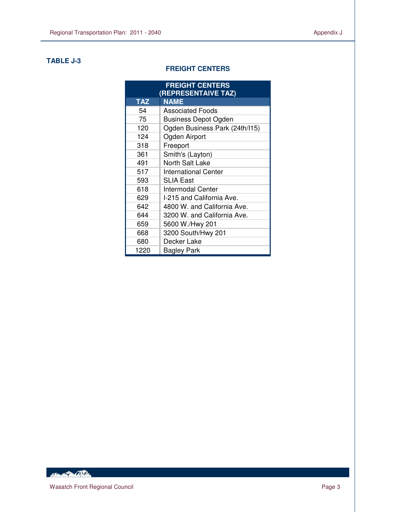#### **TABLE J-3**

 $\overline{a}$ 

#### **FREIGHT CENTERS**

| <b>FREIGHT CENTERS</b><br>(REPRESENTAIVE TAZ) |                                |  |
|-----------------------------------------------|--------------------------------|--|
| <b>TAZ</b>                                    | <b>NAME</b>                    |  |
| 54                                            | <b>Associated Foods</b>        |  |
| 75                                            | <b>Business Depot Ogden</b>    |  |
| 120                                           | Ogden Business Park (24th/I15) |  |
| 124                                           | Ogden Airport                  |  |
| 318                                           | Freeport                       |  |
| 361                                           | Smith's (Layton)               |  |
| 491                                           | North Salt Lake                |  |
| 517                                           | <b>International Center</b>    |  |
| 593                                           | <b>SLIA East</b>               |  |
| 618                                           | Intermodal Center              |  |
| 629                                           | I-215 and California Ave.      |  |
| 642                                           | 4800 W. and California Ave.    |  |
| 644                                           | 3200 W. and California Ave.    |  |
| 659                                           | 5600 W./Hwy 201                |  |
| 668                                           | 3200 South/Hwy 201             |  |
| 680                                           | Decker Lake                    |  |
| 1220                                          | <b>Bagley Park</b>             |  |

HELL PACKER